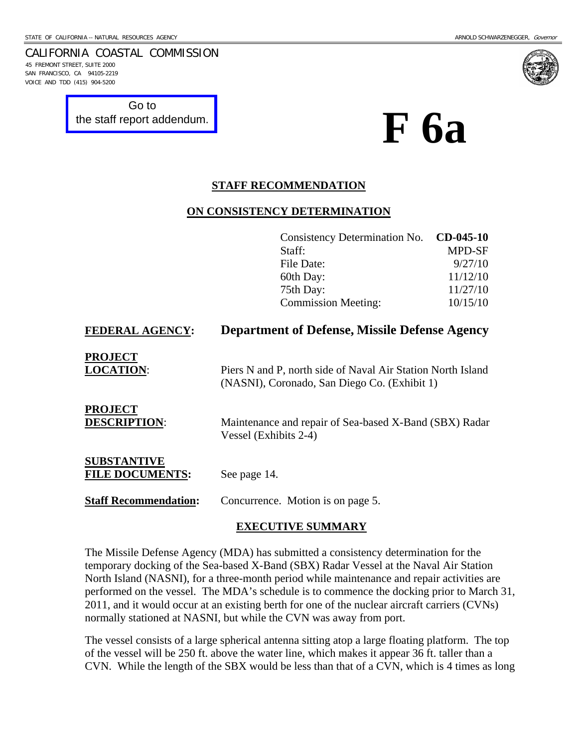45 FREMONT STREET, SUITE 2000 SAN FRANCISCO, CA 94105-2219 VOICE AND TDD (415) 904-5200

Go to

CALIFORNIA COASTAL COMMISSION

[the staff report addendum.](http://documents.coastal.ca.gov/reports/2010/10/F5a-s-10-2010-a1.pdf)

# **F 6a**

#### **STAFF RECOMMENDATION**

#### **ON CONSISTENCY DETERMINATION**

|                                              | Consistency Determination No.                                                                               | $CD-045-10$   |
|----------------------------------------------|-------------------------------------------------------------------------------------------------------------|---------------|
|                                              | Staff:                                                                                                      | <b>MPD-SF</b> |
|                                              | File Date:                                                                                                  | 9/27/10       |
|                                              | 60th Day:                                                                                                   | 11/12/10      |
|                                              | 75th Day:                                                                                                   | 11/27/10      |
|                                              | <b>Commission Meeting:</b>                                                                                  | 10/15/10      |
| <b>FEDERAL AGENCY:</b>                       | <b>Department of Defense, Missile Defense Agency</b>                                                        |               |
| <b>PROJECT</b><br><b>LOCATION:</b>           | Piers N and P, north side of Naval Air Station North Island<br>(NASNI), Coronado, San Diego Co. (Exhibit 1) |               |
| <b>PROJECT</b><br><b>DESCRIPTION:</b>        | Maintenance and repair of Sea-based X-Band (SBX) Radar<br>Vessel (Exhibits 2-4)                             |               |
| <b>SUBSTANTIVE</b><br><b>FILE DOCUMENTS:</b> | See page 14.                                                                                                |               |
| <b>Staff Recommendation:</b>                 | Concurrence. Motion is on page 5.                                                                           |               |

#### **EXECUTIVE SUMMARY**

The Missile Defense Agency (MDA) has submitted a consistency determination for the temporary docking of the Sea-based X-Band (SBX) Radar Vessel at the Naval Air Station North Island (NASNI), for a three-month period while maintenance and repair activities are performed on the vessel. The MDA's schedule is to commence the docking prior to March 31, 2011, and it would occur at an existing berth for one of the nuclear aircraft carriers (CVNs) normally stationed at NASNI, but while the CVN was away from port.

The vessel consists of a large spherical antenna sitting atop a large floating platform. The top of the vessel will be 250 ft. above the water line, which makes it appear 36 ft. taller than a CVN. While the length of the SBX would be less than that of a CVN, which is 4 times as long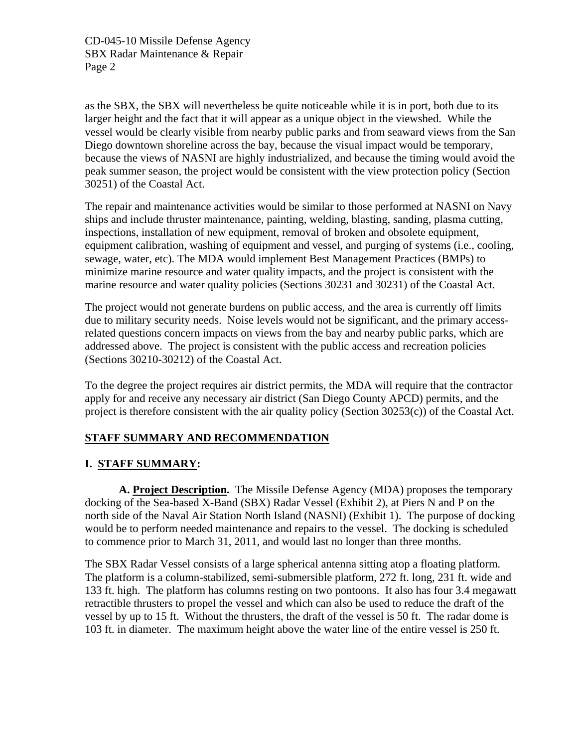as the SBX, the SBX will nevertheless be quite noticeable while it is in port, both due to its larger height and the fact that it will appear as a unique object in the viewshed. While the vessel would be clearly visible from nearby public parks and from seaward views from the San Diego downtown shoreline across the bay, because the visual impact would be temporary, because the views of NASNI are highly industrialized, and because the timing would avoid the peak summer season, the project would be consistent with the view protection policy (Section 30251) of the Coastal Act.

The repair and maintenance activities would be similar to those performed at NASNI on Navy ships and include thruster maintenance, painting, welding, blasting, sanding, plasma cutting, inspections, installation of new equipment, removal of broken and obsolete equipment, equipment calibration, washing of equipment and vessel, and purging of systems (i.e., cooling, sewage, water, etc). The MDA would implement Best Management Practices (BMPs) to minimize marine resource and water quality impacts, and the project is consistent with the marine resource and water quality policies (Sections 30231 and 30231) of the Coastal Act.

The project would not generate burdens on public access, and the area is currently off limits due to military security needs. Noise levels would not be significant, and the primary accessrelated questions concern impacts on views from the bay and nearby public parks, which are addressed above. The project is consistent with the public access and recreation policies (Sections 30210-30212) of the Coastal Act.

To the degree the project requires air district permits, the MDA will require that the contractor apply for and receive any necessary air district (San Diego County APCD) permits, and the project is therefore consistent with the air quality policy (Section 30253(c)) of the Coastal Act.

#### **STAFF SUMMARY AND RECOMMENDATION**

#### **I. STAFF SUMMARY:**

**A. Project Description.** The Missile Defense Agency (MDA) proposes the temporary docking of the Sea-based X-Band (SBX) Radar Vessel (Exhibit 2), at Piers N and P on the north side of the Naval Air Station North Island (NASNI) (Exhibit 1). The purpose of docking would be to perform needed maintenance and repairs to the vessel. The docking is scheduled to commence prior to March 31, 2011, and would last no longer than three months.

The SBX Radar Vessel consists of a large spherical antenna sitting atop a floating platform. The platform is a column-stabilized, semi-submersible platform, 272 ft. long, 231 ft. wide and 133 ft. high. The platform has columns resting on two pontoons. It also has four 3.4 megawatt retractible thrusters to propel the vessel and which can also be used to reduce the draft of the vessel by up to 15 ft. Without the thrusters, the draft of the vessel is 50 ft. The radar dome is 103 ft. in diameter. The maximum height above the water line of the entire vessel is 250 ft.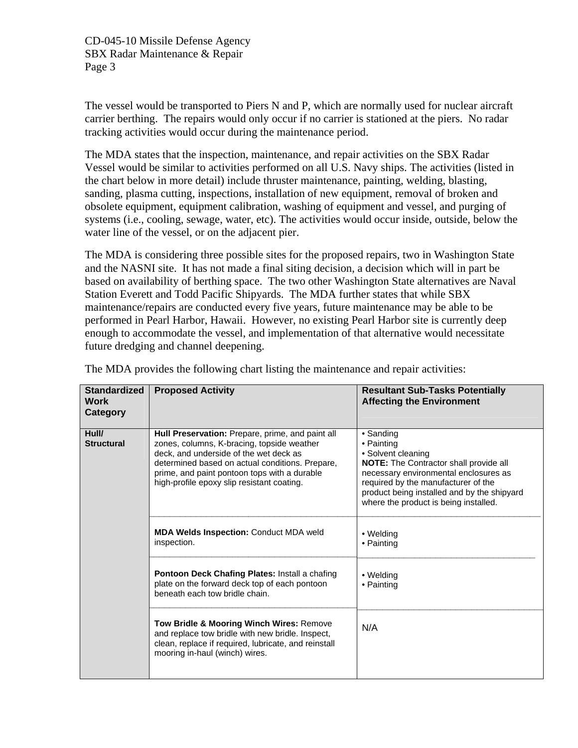The vessel would be transported to Piers N and P, which are normally used for nuclear aircraft carrier berthing. The repairs would only occur if no carrier is stationed at the piers. No radar tracking activities would occur during the maintenance period.

The MDA states that the inspection, maintenance, and repair activities on the SBX Radar Vessel would be similar to activities performed on all U.S. Navy ships. The activities (listed in the chart below in more detail) include thruster maintenance, painting, welding, blasting, sanding, plasma cutting, inspections, installation of new equipment, removal of broken and obsolete equipment, equipment calibration, washing of equipment and vessel, and purging of systems (i.e., cooling, sewage, water, etc). The activities would occur inside, outside, below the water line of the vessel, or on the adjacent pier.

The MDA is considering three possible sites for the proposed repairs, two in Washington State and the NASNI site. It has not made a final siting decision, a decision which will in part be based on availability of berthing space. The two other Washington State alternatives are Naval Station Everett and Todd Pacific Shipyards. The MDA further states that while SBX maintenance/repairs are conducted every five years, future maintenance may be able to be performed in Pearl Harbor, Hawaii. However, no existing Pearl Harbor site is currently deep enough to accommodate the vessel, and implementation of that alternative would necessitate future dredging and channel deepening.

| <b>Standardized</b><br><b>Work</b><br>Category | <b>Proposed Activity</b>                                                                                                                                                                                                                                                                  | <b>Resultant Sub-Tasks Potentially</b><br><b>Affecting the Environment</b>                                                                                                                                                                                             |
|------------------------------------------------|-------------------------------------------------------------------------------------------------------------------------------------------------------------------------------------------------------------------------------------------------------------------------------------------|------------------------------------------------------------------------------------------------------------------------------------------------------------------------------------------------------------------------------------------------------------------------|
| Hull/<br><b>Structural</b>                     | Hull Preservation: Prepare, prime, and paint all<br>zones, columns, K-bracing, topside weather<br>deck, and underside of the wet deck as<br>determined based on actual conditions. Prepare,<br>prime, and paint pontoon tops with a durable<br>high-profile epoxy slip resistant coating. | • Sanding<br>• Painting<br>• Solvent cleaning<br><b>NOTE:</b> The Contractor shall provide all<br>necessary environmental enclosures as<br>required by the manufacturer of the<br>product being installed and by the shipyard<br>where the product is being installed. |
|                                                | <b>MDA Welds Inspection: Conduct MDA weld</b><br>inspection.                                                                                                                                                                                                                              | • Welding<br>• Painting                                                                                                                                                                                                                                                |
|                                                | <b>Pontoon Deck Chafing Plates: Install a chafing</b><br>plate on the forward deck top of each pontoon<br>beneath each tow bridle chain.                                                                                                                                                  | • Welding<br>• Painting                                                                                                                                                                                                                                                |
|                                                | Tow Bridle & Mooring Winch Wires: Remove<br>and replace tow bridle with new bridle. Inspect,<br>clean, replace if required, lubricate, and reinstall<br>mooring in-haul (winch) wires.                                                                                                    | N/A                                                                                                                                                                                                                                                                    |

The MDA provides the following chart listing the maintenance and repair activities: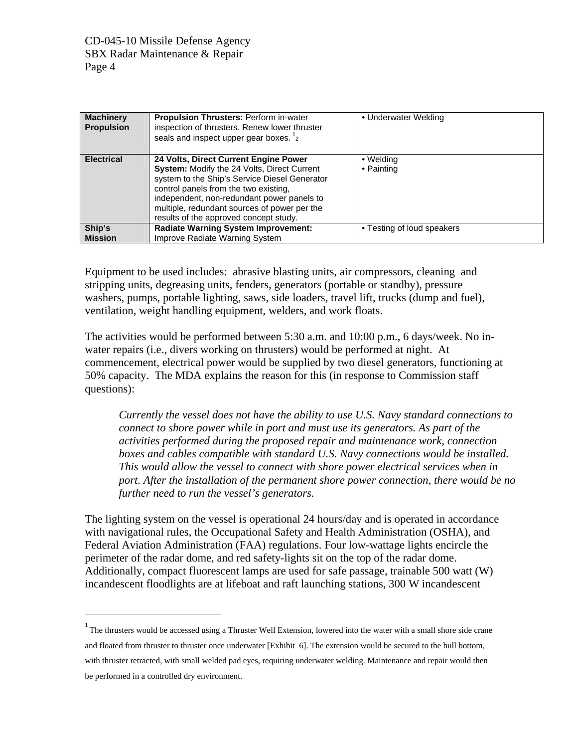<u>.</u>

| <b>Machinery</b><br><b>Propulsion</b> | <b>Propulsion Thrusters: Perform in-water</b><br>inspection of thrusters. Renew lower thruster<br>seals and inspect upper gear boxes. <sup>1</sup> 2                                                                                                                                                                          | • Underwater Welding       |
|---------------------------------------|-------------------------------------------------------------------------------------------------------------------------------------------------------------------------------------------------------------------------------------------------------------------------------------------------------------------------------|----------------------------|
| <b>Electrical</b>                     | 24 Volts, Direct Current Engine Power<br><b>System:</b> Modify the 24 Volts, Direct Current<br>system to the Ship's Service Diesel Generator<br>control panels from the two existing,<br>independent, non-redundant power panels to<br>multiple, redundant sources of power per the<br>results of the approved concept study. | • Welding<br>• Painting    |
| Ship's<br><b>Mission</b>              | <b>Radiate Warning System Improvement:</b><br>Improve Radiate Warning System                                                                                                                                                                                                                                                  | • Testing of loud speakers |

Equipment to be used includes: abrasive blasting units, air compressors, cleaning and stripping units, degreasing units, fenders, generators (portable or standby), pressure washers, pumps, portable lighting, saws, side loaders, travel lift, trucks (dump and fuel), ventilation, weight handling equipment, welders, and work floats.

The activities would be performed between 5:30 a.m. and 10:00 p.m., 6 days/week. No inwater repairs (i.e., divers working on thrusters) would be performed at night. At commencement, electrical power would be supplied by two diesel generators, functioning at 50% capacity. The MDA explains the reason for this (in response to Commission staff questions):

*Currently the vessel does not have the ability to use U.S. Navy standard connections to connect to shore power while in port and must use its generators. As part of the activities performed during the proposed repair and maintenance work, connection boxes and cables compatible with standard U.S. Navy connections would be installed. This would allow the vessel to connect with shore power electrical services when in port. After the installation of the permanent shore power connection, there would be no further need to run the vessel's generators.* 

The lighting system on the vessel is operational 24 hours/day and is operated in accordance with navigational rules, the Occupational Safety and Health Administration (OSHA), and Federal Aviation Administration (FAA) regulations. Four low-wattage lights encircle the perimeter of the radar dome, and red safety-lights sit on the top of the radar dome. Additionally, compact fluorescent lamps are used for safe passage, trainable 500 watt (W) incandescent floodlights are at lifeboat and raft launching stations, 300 W incandescent

<span id="page-3-0"></span> $1$  The thrusters would be accessed using a Thruster Well Extension, lowered into the water with a small shore side crane and floated from thruster to thruster once underwater [Exhibit 6]. The extension would be secured to the hull bottom, with thruster retracted, with small welded pad eyes, requiring underwater welding. Maintenance and repair would then be performed in a controlled dry environment.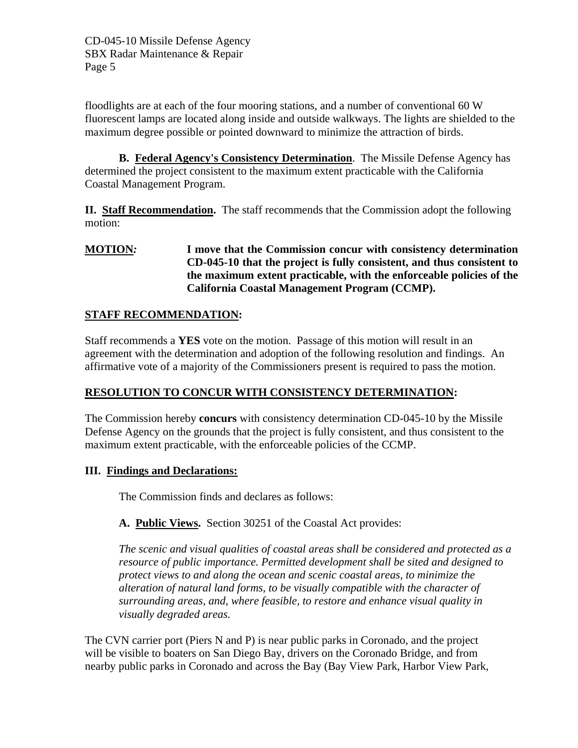floodlights are at each of the four mooring stations, and a number of conventional 60 W fluorescent lamps are located along inside and outside walkways. The lights are shielded to the maximum degree possible or pointed downward to minimize the attraction of birds.

**B. Federal Agency's Consistency Determination**. The Missile Defense Agency has determined the project consistent to the maximum extent practicable with the California Coastal Management Program.

**II. Staff Recommendation.** The staff recommends that the Commission adopt the following motion:

#### **MOTION***:* **I move that the Commission concur with consistency determination CD-045-10 that the project is fully consistent, and thus consistent to the maximum extent practicable, with the enforceable policies of the California Coastal Management Program (CCMP).**

### **STAFF RECOMMENDATION:**

Staff recommends a **YES** vote on the motion. Passage of this motion will result in an agreement with the determination and adoption of the following resolution and findings. An affirmative vote of a majority of the Commissioners present is required to pass the motion.

#### **RESOLUTION TO CONCUR WITH CONSISTENCY DETERMINATION:**

The Commission hereby **concurs** with consistency determination CD-045-10 by the Missile Defense Agency on the grounds that the project is fully consistent, and thus consistent to the maximum extent practicable, with the enforceable policies of the CCMP.

#### **III. Findings and Declarations:**

The Commission finds and declares as follows:

**A. Public Views.** Section 30251 of the Coastal Act provides:

*The scenic and visual qualities of coastal areas shall be considered and protected as a resource of public importance. Permitted development shall be sited and designed to protect views to and along the ocean and scenic coastal areas, to minimize the alteration of natural land forms, to be visually compatible with the character of surrounding areas, and, where feasible, to restore and enhance visual quality in visually degraded areas.* 

The CVN carrier port (Piers N and P) is near public parks in Coronado, and the project will be visible to boaters on San Diego Bay, drivers on the Coronado Bridge, and from nearby public parks in Coronado and across the Bay (Bay View Park, Harbor View Park,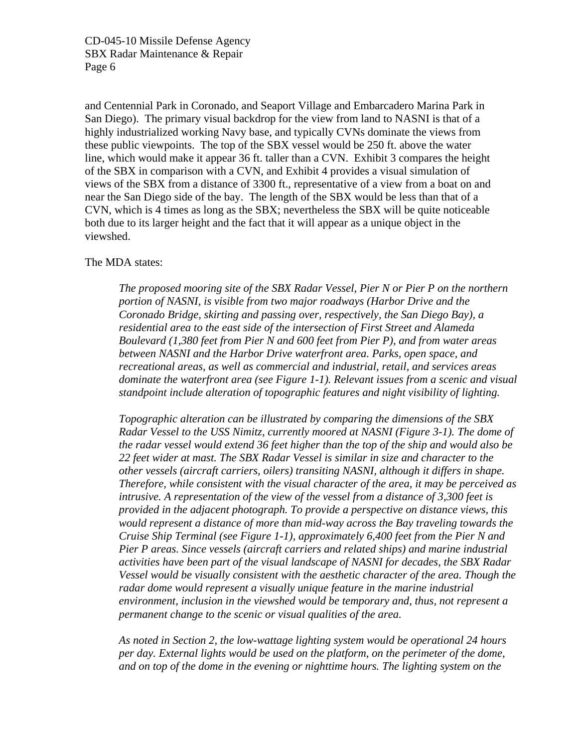and Centennial Park in Coronado, and Seaport Village and Embarcadero Marina Park in San Diego). The primary visual backdrop for the view from land to NASNI is that of a highly industrialized working Navy base, and typically CVNs dominate the views from these public viewpoints. The top of the SBX vessel would be 250 ft. above the water line, which would make it appear 36 ft. taller than a CVN. Exhibit 3 compares the height of the SBX in comparison with a CVN, and Exhibit 4 provides a visual simulation of views of the SBX from a distance of 3300 ft., representative of a view from a boat on and near the San Diego side of the bay. The length of the SBX would be less than that of a CVN, which is 4 times as long as the SBX; nevertheless the SBX will be quite noticeable both due to its larger height and the fact that it will appear as a unique object in the viewshed.

#### The MDA states:

*The proposed mooring site of the SBX Radar Vessel, Pier N or Pier P on the northern portion of NASNI, is visible from two major roadways (Harbor Drive and the Coronado Bridge, skirting and passing over, respectively, the San Diego Bay), a residential area to the east side of the intersection of First Street and Alameda Boulevard (1,380 feet from Pier N and 600 feet from Pier P), and from water areas between NASNI and the Harbor Drive waterfront area. Parks, open space, and recreational areas, as well as commercial and industrial, retail, and services areas dominate the waterfront area (see Figure 1-1). Relevant issues from a scenic and visual standpoint include alteration of topographic features and night visibility of lighting.* 

*Topographic alteration can be illustrated by comparing the dimensions of the SBX Radar Vessel to the USS Nimitz, currently moored at NASNI (Figure 3-1). The dome of the radar vessel would extend 36 feet higher than the top of the ship and would also be 22 feet wider at mast. The SBX Radar Vessel is similar in size and character to the other vessels (aircraft carriers, oilers) transiting NASNI, although it differs in shape. Therefore, while consistent with the visual character of the area, it may be perceived as intrusive. A representation of the view of the vessel from a distance of 3,300 feet is provided in the adjacent photograph. To provide a perspective on distance views, this would represent a distance of more than mid-way across the Bay traveling towards the Cruise Ship Terminal (see Figure 1-1), approximately 6,400 feet from the Pier N and Pier P areas. Since vessels (aircraft carriers and related ships) and marine industrial activities have been part of the visual landscape of NASNI for decades, the SBX Radar Vessel would be visually consistent with the aesthetic character of the area. Though the*  radar dome would represent a visually unique feature in the marine industrial *environment, inclusion in the viewshed would be temporary and, thus, not represent a permanent change to the scenic or visual qualities of the area.* 

*As noted in Section 2, the low-wattage lighting system would be operational 24 hours per day. External lights would be used on the platform, on the perimeter of the dome, and on top of the dome in the evening or nighttime hours. The lighting system on the*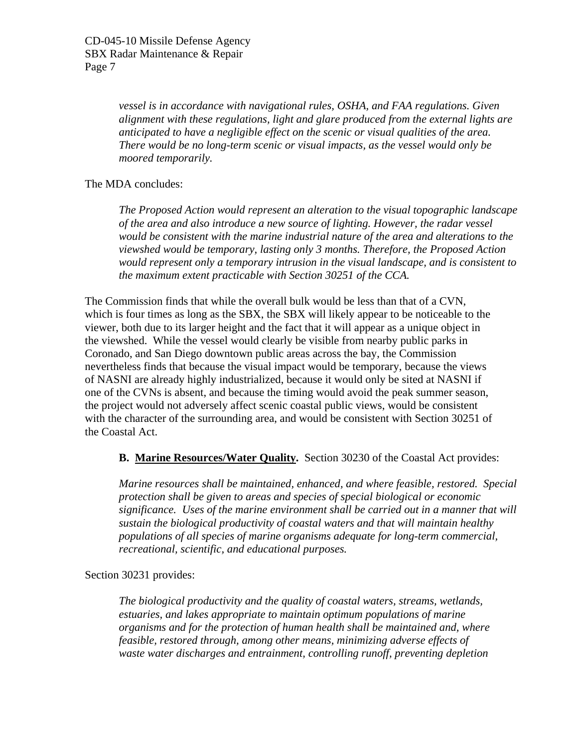*vessel is in accordance with navigational rules, OSHA, and FAA regulations. Given alignment with these regulations, light and glare produced from the external lights are anticipated to have a negligible effect on the scenic or visual qualities of the area. There would be no long-term scenic or visual impacts, as the vessel would only be moored temporarily.* 

#### The MDA concludes:

*The Proposed Action would represent an alteration to the visual topographic landscape of the area and also introduce a new source of lighting. However, the radar vessel would be consistent with the marine industrial nature of the area and alterations to the viewshed would be temporary, lasting only 3 months. Therefore, the Proposed Action would represent only a temporary intrusion in the visual landscape, and is consistent to the maximum extent practicable with Section 30251 of the CCA.* 

The Commission finds that while the overall bulk would be less than that of a CVN, which is four times as long as the SBX, the SBX will likely appear to be noticeable to the viewer, both due to its larger height and the fact that it will appear as a unique object in the viewshed. While the vessel would clearly be visible from nearby public parks in Coronado, and San Diego downtown public areas across the bay, the Commission nevertheless finds that because the visual impact would be temporary, because the views of NASNI are already highly industrialized, because it would only be sited at NASNI if one of the CVNs is absent, and because the timing would avoid the peak summer season, the project would not adversely affect scenic coastal public views, would be consistent with the character of the surrounding area, and would be consistent with Section 30251 of the Coastal Act.

#### **B. Marine Resources/Water Quality.** Section 30230 of the Coastal Act provides:

*Marine resources shall be maintained, enhanced, and where feasible, restored. Special protection shall be given to areas and species of special biological or economic significance. Uses of the marine environment shall be carried out in a manner that will sustain the biological productivity of coastal waters and that will maintain healthy populations of all species of marine organisms adequate for long-term commercial, recreational, scientific, and educational purposes.* 

#### Section 30231 provides:

*The biological productivity and the quality of coastal waters, streams, wetlands, estuaries, and lakes appropriate to maintain optimum populations of marine organisms and for the protection of human health shall be maintained and, where feasible, restored through, among other means, minimizing adverse effects of waste water discharges and entrainment, controlling runoff, preventing depletion*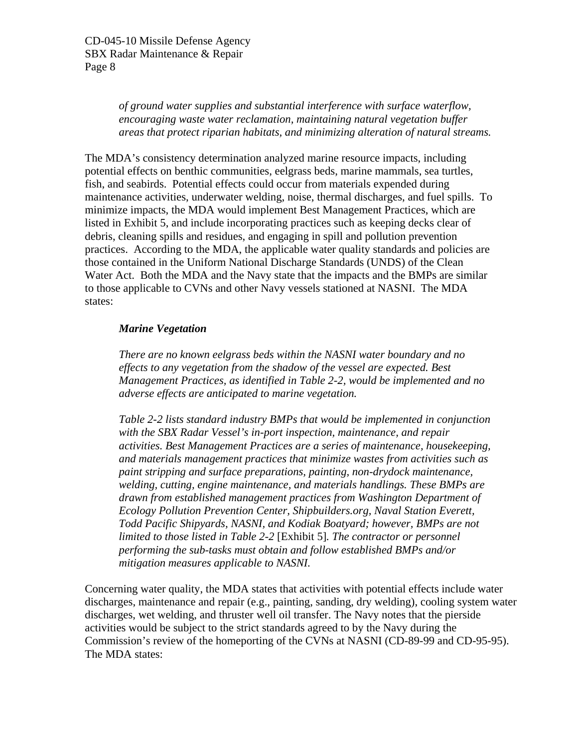*of ground water supplies and substantial interference with surface waterflow, encouraging waste water reclamation, maintaining natural vegetation buffer areas that protect riparian habitats, and minimizing alteration of natural streams.* 

The MDA's consistency determination analyzed marine resource impacts, including potential effects on benthic communities, eelgrass beds, marine mammals, sea turtles, fish, and seabirds. Potential effects could occur from materials expended during maintenance activities, underwater welding, noise, thermal discharges, and fuel spills. To minimize impacts, the MDA would implement Best Management Practices, which are listed in Exhibit 5, and include incorporating practices such as keeping decks clear of debris, cleaning spills and residues, and engaging in spill and pollution prevention practices. According to the MDA, the applicable water quality standards and policies are those contained in the Uniform National Discharge Standards (UNDS) of the Clean Water Act. Both the MDA and the Navy state that the impacts and the BMPs are similar to those applicable to CVNs and other Navy vessels stationed at NASNI. The MDA states:

#### *Marine Vegetation*

*There are no known eelgrass beds within the NASNI water boundary and no effects to any vegetation from the shadow of the vessel are expected. Best Management Practices, as identified in Table 2-2, would be implemented and no adverse effects are anticipated to marine vegetation.* 

*Table 2-2 lists standard industry BMPs that would be implemented in conjunction with the SBX Radar Vessel's in-port inspection, maintenance, and repair activities. Best Management Practices are a series of maintenance, housekeeping, and materials management practices that minimize wastes from activities such as paint stripping and surface preparations, painting, non-drydock maintenance, welding, cutting, engine maintenance, and materials handlings. These BMPs are drawn from established management practices from Washington Department of Ecology Pollution Prevention Center, Shipbuilders.org, Naval Station Everett, Todd Pacific Shipyards, NASNI, and Kodiak Boatyard; however, BMPs are not limited to those listed in Table 2-2* [Exhibit 5]*. The contractor or personnel performing the sub-tasks must obtain and follow established BMPs and/or mitigation measures applicable to NASNI.* 

Concerning water quality, the MDA states that activities with potential effects include water discharges, maintenance and repair (e.g., painting, sanding, dry welding), cooling system water discharges, wet welding, and thruster well oil transfer. The Navy notes that the pierside activities would be subject to the strict standards agreed to by the Navy during the Commission's review of the homeporting of the CVNs at NASNI (CD-89-99 and CD-95-95). The MDA states: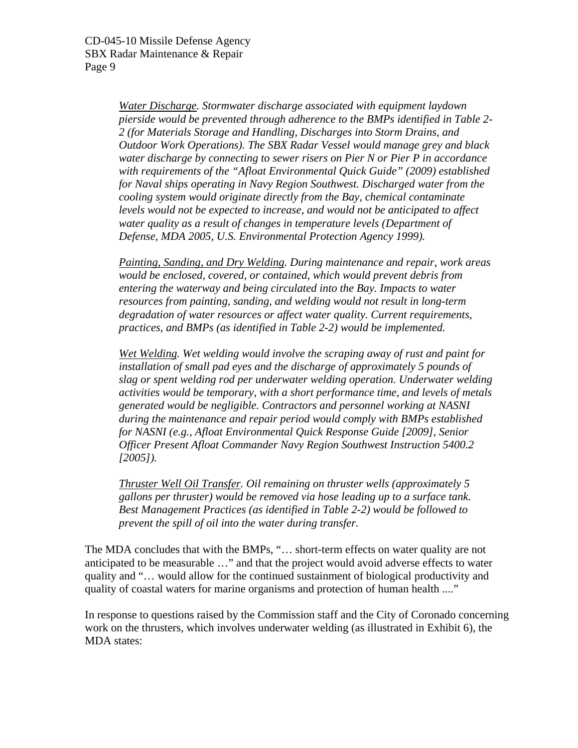*Water Discharge. Stormwater discharge associated with equipment laydown pierside would be prevented through adherence to the BMPs identified in Table 2- 2 (for Materials Storage and Handling, Discharges into Storm Drains, and Outdoor Work Operations). The SBX Radar Vessel would manage grey and black water discharge by connecting to sewer risers on Pier N or Pier P in accordance with requirements of the "Afloat Environmental Quick Guide" (2009) established for Naval ships operating in Navy Region Southwest. Discharged water from the cooling system would originate directly from the Bay, chemical contaminate levels would not be expected to increase, and would not be anticipated to affect water quality as a result of changes in temperature levels (Department of Defense, MDA 2005, U.S. Environmental Protection Agency 1999).* 

*Painting, Sanding, and Dry Welding. During maintenance and repair, work areas would be enclosed, covered, or contained, which would prevent debris from entering the waterway and being circulated into the Bay. Impacts to water resources from painting, sanding, and welding would not result in long-term degradation of water resources or affect water quality. Current requirements, practices, and BMPs (as identified in Table 2-2) would be implemented.* 

*Wet Welding. Wet welding would involve the scraping away of rust and paint for installation of small pad eyes and the discharge of approximately 5 pounds of slag or spent welding rod per underwater welding operation. Underwater welding activities would be temporary, with a short performance time, and levels of metals generated would be negligible. Contractors and personnel working at NASNI during the maintenance and repair period would comply with BMPs established for NASNI (e.g., Afloat Environmental Quick Response Guide [2009], Senior Officer Present Afloat Commander Navy Region Southwest Instruction 5400.2 [2005]).* 

*Thruster Well Oil Transfer. Oil remaining on thruster wells (approximately 5 gallons per thruster) would be removed via hose leading up to a surface tank. Best Management Practices (as identified in Table 2-2) would be followed to prevent the spill of oil into the water during transfer.* 

The MDA concludes that with the BMPs, "… short-term effects on water quality are not anticipated to be measurable …" and that the project would avoid adverse effects to water quality and "… would allow for the continued sustainment of biological productivity and quality of coastal waters for marine organisms and protection of human health ...."

In response to questions raised by the Commission staff and the City of Coronado concerning work on the thrusters, which involves underwater welding (as illustrated in Exhibit 6), the MDA states: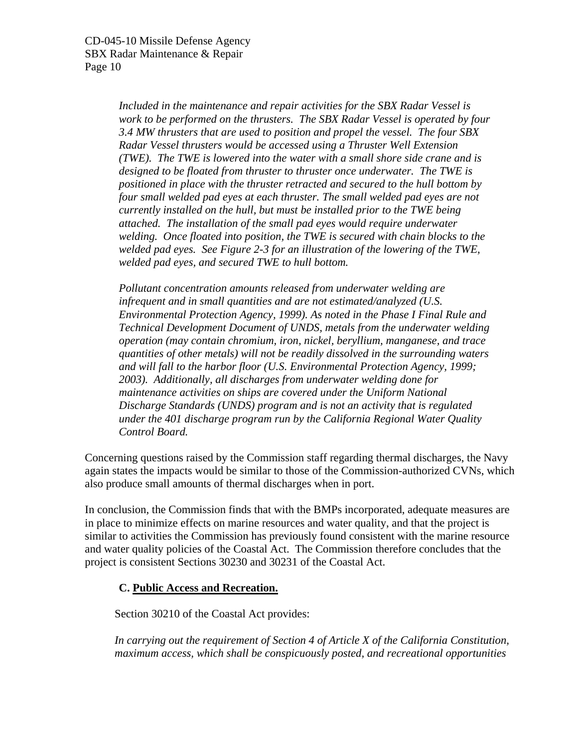*Included in the maintenance and repair activities for the SBX Radar Vessel is work to be performed on the thrusters. The SBX Radar Vessel is operated by four 3.4 MW thrusters that are used to position and propel the vessel. The four SBX Radar Vessel thrusters would be accessed using a Thruster Well Extension (TWE). The TWE is lowered into the water with a small shore side crane and is designed to be floated from thruster to thruster once underwater. The TWE is positioned in place with the thruster retracted and secured to the hull bottom by four small welded pad eyes at each thruster. The small welded pad eyes are not currently installed on the hull, but must be installed prior to the TWE being attached. The installation of the small pad eyes would require underwater welding. Once floated into position, the TWE is secured with chain blocks to the welded pad eyes. See Figure 2-3 for an illustration of the lowering of the TWE, welded pad eyes, and secured TWE to hull bottom.* 

*Pollutant concentration amounts released from underwater welding are infrequent and in small quantities and are not estimated/analyzed (U.S. Environmental Protection Agency, 1999). As noted in the Phase I Final Rule and Technical Development Document of UNDS, metals from the underwater welding operation (may contain chromium, iron, nickel, beryllium, manganese, and trace quantities of other metals) will not be readily dissolved in the surrounding waters and will fall to the harbor floor (U.S. Environmental Protection Agency, 1999; 2003). Additionally, all discharges from underwater welding done for maintenance activities on ships are covered under the Uniform National Discharge Standards (UNDS) program and is not an activity that is regulated under the 401 discharge program run by the California Regional Water Quality Control Board.* 

Concerning questions raised by the Commission staff regarding thermal discharges, the Navy again states the impacts would be similar to those of the Commission-authorized CVNs, which also produce small amounts of thermal discharges when in port.

In conclusion, the Commission finds that with the BMPs incorporated, adequate measures are in place to minimize effects on marine resources and water quality, and that the project is similar to activities the Commission has previously found consistent with the marine resource and water quality policies of the Coastal Act. The Commission therefore concludes that the project is consistent Sections 30230 and 30231 of the Coastal Act.

#### **C. Public Access and Recreation.**

Section 30210 of the Coastal Act provides:

 *In carrying out the requirement of Section 4 of Article X of the California Constitution, maximum access, which shall be conspicuously posted, and recreational opportunities*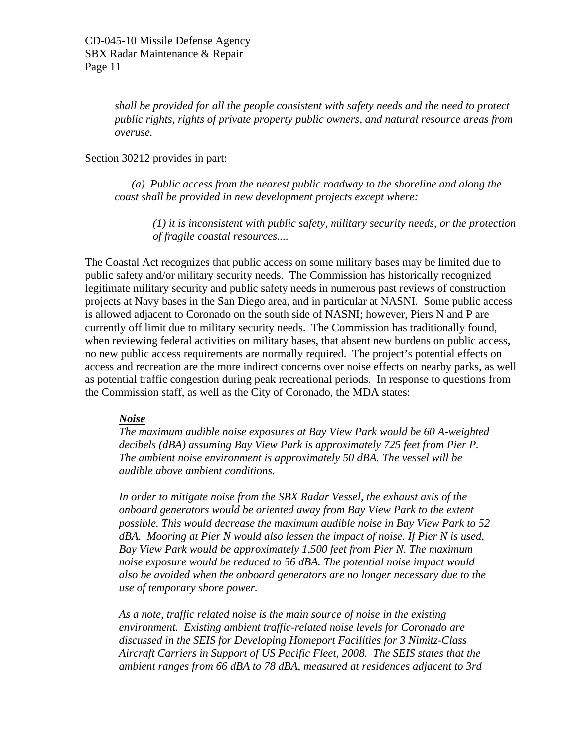*shall be provided for all the people consistent with safety needs and the need to protect public rights, rights of private property public owners, and natural resource areas from overuse.* 

Section 30212 provides in part:

 *(a) Public access from the nearest public roadway to the shoreline and along the coast shall be provided in new development projects except where:* 

 *(1) it is inconsistent with public safety, military security needs, or the protection of fragile coastal resources....* 

The Coastal Act recognizes that public access on some military bases may be limited due to public safety and/or military security needs. The Commission has historically recognized legitimate military security and public safety needs in numerous past reviews of construction projects at Navy bases in the San Diego area, and in particular at NASNI. Some public access is allowed adjacent to Coronado on the south side of NASNI; however, Piers N and P are currently off limit due to military security needs. The Commission has traditionally found, when reviewing federal activities on military bases, that absent new burdens on public access, no new public access requirements are normally required. The project's potential effects on access and recreation are the more indirect concerns over noise effects on nearby parks, as well as potential traffic congestion during peak recreational periods. In response to questions from the Commission staff, as well as the City of Coronado, the MDA states:

#### *Noise*

*The maximum audible noise exposures at Bay View Park would be 60 A-weighted decibels (dBA) assuming Bay View Park is approximately 725 feet from Pier P. The ambient noise environment is approximately 50 dBA. The vessel will be audible above ambient conditions.* 

*In order to mitigate noise from the SBX Radar Vessel, the exhaust axis of the onboard generators would be oriented away from Bay View Park to the extent possible. This would decrease the maximum audible noise in Bay View Park to 52 dBA. Mooring at Pier N would also lessen the impact of noise. If Pier N is used, Bay View Park would be approximately 1,500 feet from Pier N. The maximum noise exposure would be reduced to 56 dBA. The potential noise impact would also be avoided when the onboard generators are no longer necessary due to the use of temporary shore power.* 

*As a note, traffic related noise is the main source of noise in the existing environment. Existing ambient traffic-related noise levels for Coronado are discussed in the SEIS for Developing Homeport Facilities for 3 Nimitz-Class Aircraft Carriers in Support of US Pacific Fleet, 2008. The SEIS states that the ambient ranges from 66 dBA to 78 dBA, measured at residences adjacent to 3rd*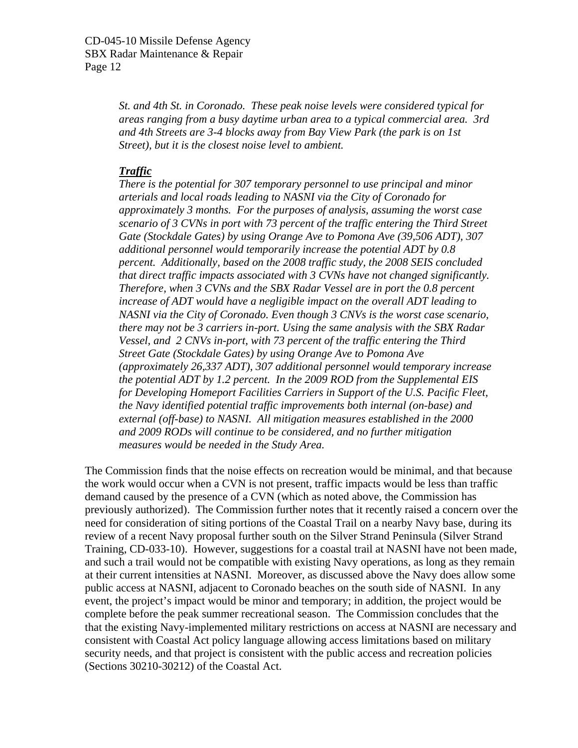*St. and 4th St. in Coronado. These peak noise levels were considered typical for areas ranging from a busy daytime urban area to a typical commercial area. 3rd and 4th Streets are 3-4 blocks away from Bay View Park (the park is on 1st Street), but it is the closest noise level to ambient.* 

#### *Traffic*

*There is the potential for 307 temporary personnel to use principal and minor arterials and local roads leading to NASNI via the City of Coronado for approximately 3 months. For the purposes of analysis, assuming the worst case scenario of 3 CVNs in port with 73 percent of the traffic entering the Third Street Gate (Stockdale Gates) by using Orange Ave to Pomona Ave (39,506 ADT), 307 additional personnel would temporarily increase the potential ADT by 0.8 percent. Additionally, based on the 2008 traffic study, the 2008 SEIS concluded that direct traffic impacts associated with 3 CVNs have not changed significantly. Therefore, when 3 CVNs and the SBX Radar Vessel are in port the 0.8 percent increase of ADT would have a negligible impact on the overall ADT leading to NASNI via the City of Coronado. Even though 3 CNVs is the worst case scenario, there may not be 3 carriers in-port. Using the same analysis with the SBX Radar Vessel, and 2 CNVs in-port, with 73 percent of the traffic entering the Third Street Gate (Stockdale Gates) by using Orange Ave to Pomona Ave (approximately 26,337 ADT), 307 additional personnel would temporary increase the potential ADT by 1.2 percent. In the 2009 ROD from the Supplemental EIS for Developing Homeport Facilities Carriers in Support of the U.S. Pacific Fleet, the Navy identified potential traffic improvements both internal (on-base) and external (off-base) to NASNI. All mitigation measures established in the 2000 and 2009 RODs will continue to be considered, and no further mitigation measures would be needed in the Study Area.* 

The Commission finds that the noise effects on recreation would be minimal, and that because the work would occur when a CVN is not present, traffic impacts would be less than traffic demand caused by the presence of a CVN (which as noted above, the Commission has previously authorized). The Commission further notes that it recently raised a concern over the need for consideration of siting portions of the Coastal Trail on a nearby Navy base, during its review of a recent Navy proposal further south on the Silver Strand Peninsula (Silver Strand Training, CD-033-10). However, suggestions for a coastal trail at NASNI have not been made, and such a trail would not be compatible with existing Navy operations, as long as they remain at their current intensities at NASNI. Moreover, as discussed above the Navy does allow some public access at NASNI, adjacent to Coronado beaches on the south side of NASNI. In any event, the project's impact would be minor and temporary; in addition, the project would be complete before the peak summer recreational season. The Commission concludes that the that the existing Navy-implemented military restrictions on access at NASNI are necessary and consistent with Coastal Act policy language allowing access limitations based on military security needs, and that project is consistent with the public access and recreation policies (Sections 30210-30212) of the Coastal Act.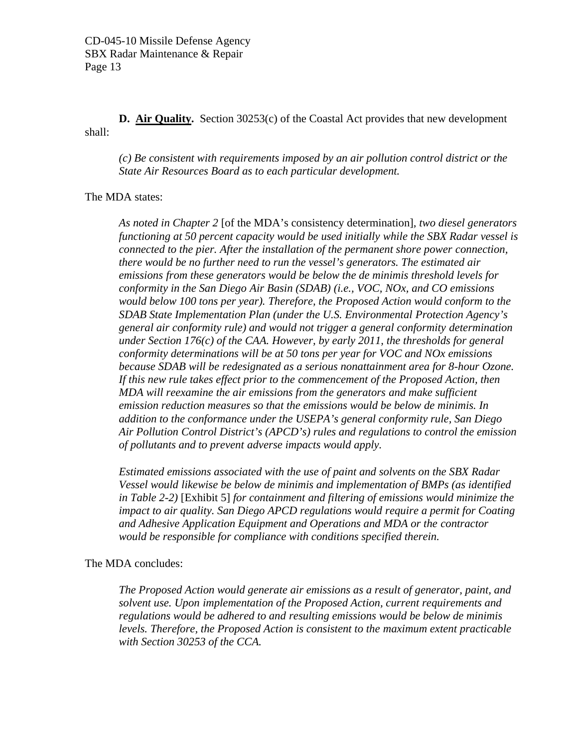**D. Air Quality.** Section 30253(c) of the Coastal Act provides that new development shall:

*(c) Be consistent with requirements imposed by an air pollution control district or the State Air Resources Board as to each particular development.* 

#### The MDA states:

*As noted in Chapter 2* [of the MDA's consistency determination]*, two diesel generators functioning at 50 percent capacity would be used initially while the SBX Radar vessel is connected to the pier. After the installation of the permanent shore power connection, there would be no further need to run the vessel's generators. The estimated air emissions from these generators would be below the de minimis threshold levels for conformity in the San Diego Air Basin (SDAB) (i.e., VOC, NOx, and CO emissions would below 100 tons per year). Therefore, the Proposed Action would conform to the SDAB State Implementation Plan (under the U.S. Environmental Protection Agency's general air conformity rule) and would not trigger a general conformity determination under Section 176(c) of the CAA. However, by early 2011, the thresholds for general conformity determinations will be at 50 tons per year for VOC and NOx emissions because SDAB will be redesignated as a serious nonattainment area for 8-hour Ozone. If this new rule takes effect prior to the commencement of the Proposed Action, then MDA will reexamine the air emissions from the generators and make sufficient emission reduction measures so that the emissions would be below de minimis. In addition to the conformance under the USEPA's general conformity rule, San Diego Air Pollution Control District's (APCD's) rules and regulations to control the emission of pollutants and to prevent adverse impacts would apply.* 

*Estimated emissions associated with the use of paint and solvents on the SBX Radar Vessel would likewise be below de minimis and implementation of BMPs (as identified in Table 2-2)* [Exhibit 5] *for containment and filtering of emissions would minimize the impact to air quality. San Diego APCD regulations would require a permit for Coating and Adhesive Application Equipment and Operations and MDA or the contractor would be responsible for compliance with conditions specified therein.* 

The MDA concludes:

*The Proposed Action would generate air emissions as a result of generator, paint, and solvent use. Upon implementation of the Proposed Action, current requirements and regulations would be adhered to and resulting emissions would be below de minimis levels. Therefore, the Proposed Action is consistent to the maximum extent practicable with Section 30253 of the CCA.*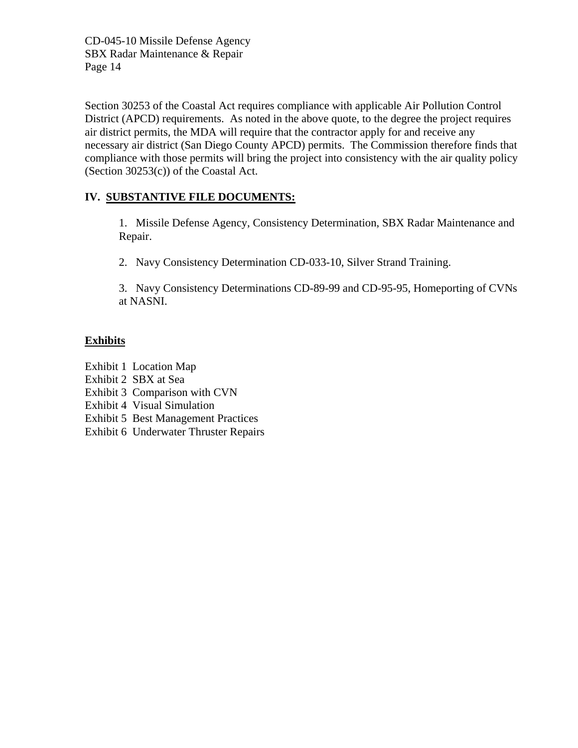Section 30253 of the Coastal Act requires compliance with applicable Air Pollution Control District (APCD) requirements. As noted in the above quote, to the degree the project requires air district permits, the MDA will require that the contractor apply for and receive any necessary air district (San Diego County APCD) permits. The Commission therefore finds that compliance with those permits will bring the project into consistency with the air quality policy (Section 30253(c)) of the Coastal Act.

#### **IV. SUBSTANTIVE FILE DOCUMENTS:**

1. Missile Defense Agency, Consistency Determination, SBX Radar Maintenance and Repair.

2. Navy Consistency Determination CD-033-10, Silver Strand Training.

3. Navy Consistency Determinations CD-89-99 and CD-95-95, Homeporting of CVNs at NASNI.

#### **Exhibits**

- Exhibit 1 Location Map
- Exhibit 2 SBX at Sea
- Exhibit 3 Comparison with CVN
- Exhibit 4 Visual Simulation
- Exhibit 5 Best Management Practices
- Exhibit 6 Underwater Thruster Repairs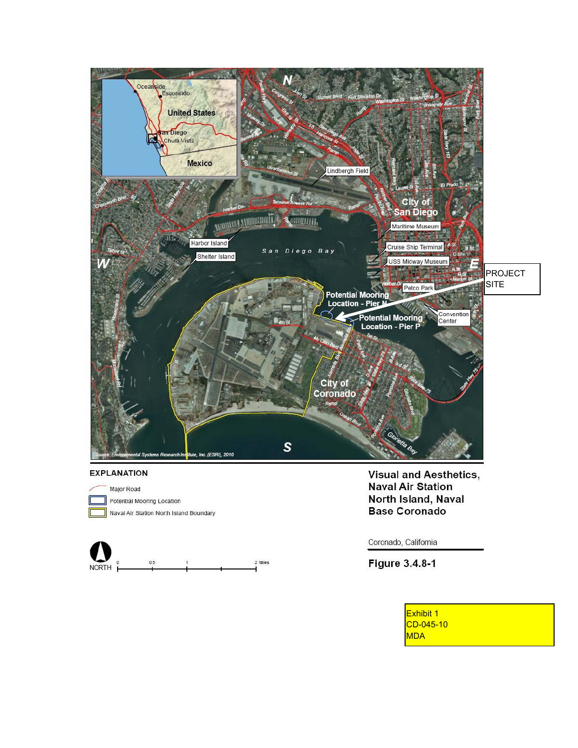

#### **EXPLANATION**



Naval Air Station North Island Boundary



**Visual and Aesthetics, Naval Air Station** North Island, Naval **Base Coronado** 

Coronado, California

Figure 3.4.8-1

Exhibit 1  $CD-045-10$ MDA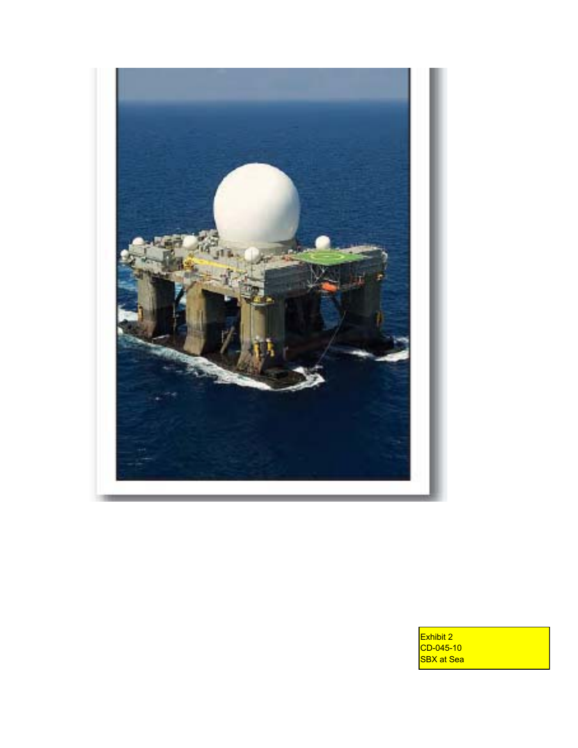

Exhibit 2 CD-045-10 SBX at Sea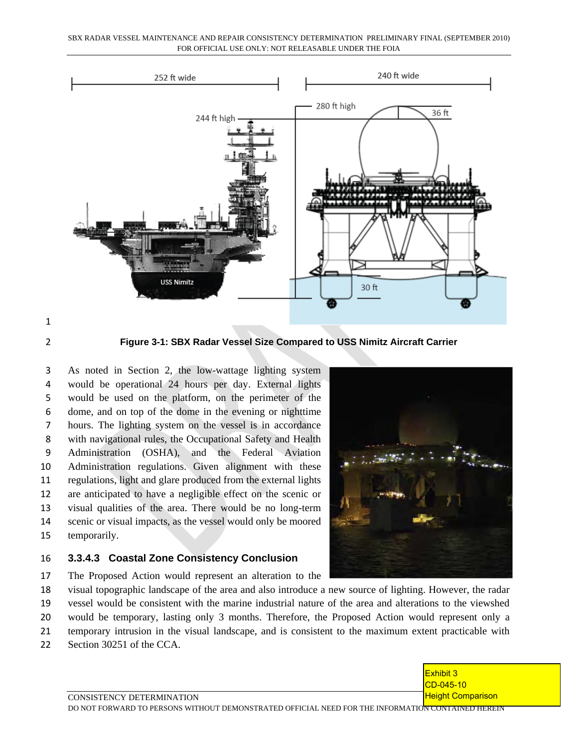SBX RADAR VESSEL MAINTENANCE AND REPAIR CONSISTENCY DETERMINATION PRELIMINARY FINAL (SEPTEMBER 2010) FOR OFFICIAL USE ONLY: NOT RELEASABLE UNDER THE FOIA



**Figure 3-1: SBX Radar Vessel Size Compared to USS Nimitz Aircraft Carrier** 

 As noted in Section 2, the low-wattage lighting system would be operational 24 hours per day. External lights would be used on the platform, on the perimeter of the dome, and on top of the dome in the evening or nighttime hours. The lighting system on the vessel is in accordance with navigational rules, the Occupational Safety and Health Administration (OSHA), and the Federal Aviation Administration regulations. Given alignment with these regulations, light and glare produced from the external lights are anticipated to have a negligible effect on the scenic or visual qualities of the area. There would be no long-term scenic or visual impacts, as the vessel would only be moored temporarily.

#### **3.3.4.3 Coastal Zone Consistency Conclusion**



- The Proposed Action would represent an alteration to the
- visual topographic landscape of the area and also introduce a new source of lighting. However, the radar
- vessel would be consistent with the marine industrial nature of the area and alterations to the viewshed
- would be temporary, lasting only 3 months. Therefore, the Proposed Action would represent only a
- temporary intrusion in the visual landscape, and is consistent to the maximum extent practicable with
- Section 30251 of the CCA.

Exhibit 3 CD-045-10 **Height Comparison** 

CONSISTENCY DETERMINATION DO NOT FORWARD TO PERSONS WITHOUT DEMONSTRATED OFFICIAL NEED FOR THE INFORMATION CONTAINED HEREIN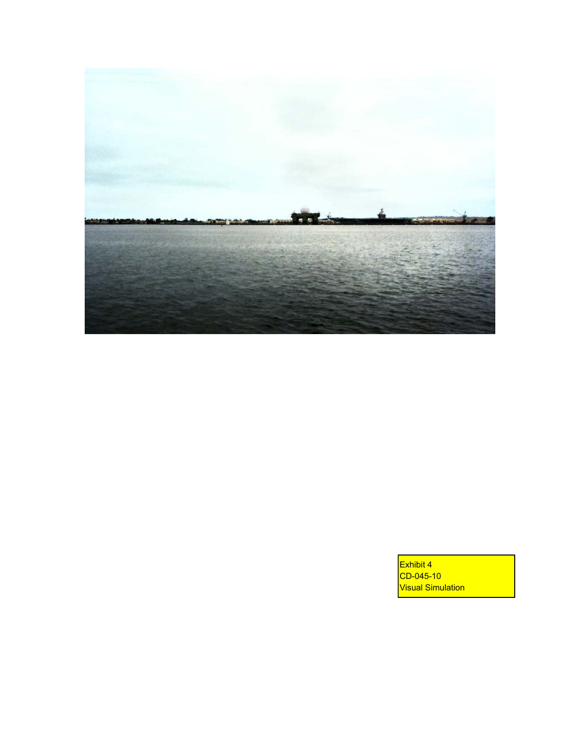

Exhibit 4 CD-045-10 **Visual Simulation**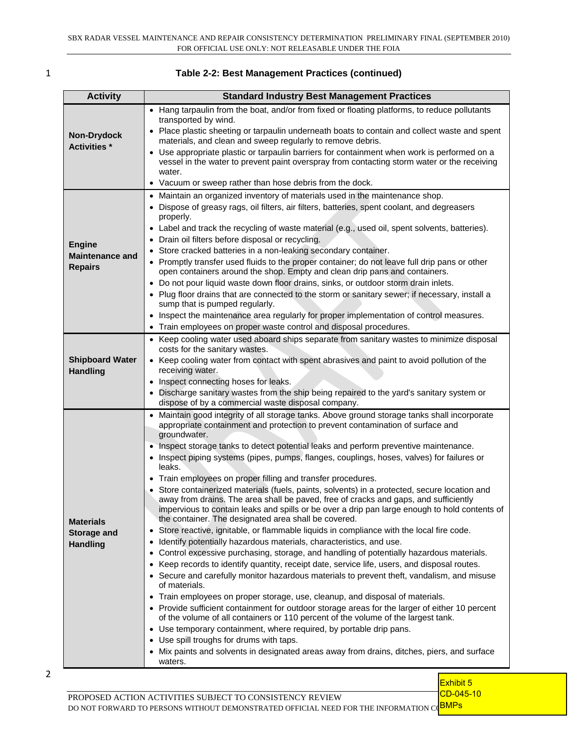#### 1 **Table 2-2: Best Management Practices (continued)**

| <b>Activity</b>                           | <b>Standard Industry Best Management Practices</b>                                                                                                                                                                                                                                          |
|-------------------------------------------|---------------------------------------------------------------------------------------------------------------------------------------------------------------------------------------------------------------------------------------------------------------------------------------------|
|                                           | • Hang tarpaulin from the boat, and/or from fixed or floating platforms, to reduce pollutants                                                                                                                                                                                               |
| <b>Non-Drydock</b><br><b>Activities</b> * | transported by wind.<br>• Place plastic sheeting or tarpaulin underneath boats to contain and collect waste and spent<br>materials, and clean and sweep regularly to remove debris.                                                                                                         |
|                                           | • Use appropriate plastic or tarpaulin barriers for containment when work is performed on a<br>vessel in the water to prevent paint overspray from contacting storm water or the receiving<br>water.                                                                                        |
|                                           | • Vacuum or sweep rather than hose debris from the dock.                                                                                                                                                                                                                                    |
|                                           | • Maintain an organized inventory of materials used in the maintenance shop.<br>• Dispose of greasy rags, oil filters, air filters, batteries, spent coolant, and degreasers<br>properly.<br>• Label and track the recycling of waste material (e.g., used oil, spent solvents, batteries). |
| <b>Engine</b>                             | • Drain oil filters before disposal or recycling.                                                                                                                                                                                                                                           |
| <b>Maintenance and</b>                    | Store cracked batteries in a non-leaking secondary container.                                                                                                                                                                                                                               |
| <b>Repairs</b>                            | • Promptly transfer used fluids to the proper container; do not leave full drip pans or other<br>open containers around the shop. Empty and clean drip pans and containers.                                                                                                                 |
|                                           | • Do not pour liquid waste down floor drains, sinks, or outdoor storm drain inlets.<br>• Plug floor drains that are connected to the storm or sanitary sewer; if necessary, install a                                                                                                       |
|                                           | sump that is pumped regularly.                                                                                                                                                                                                                                                              |
|                                           | • Inspect the maintenance area regularly for proper implementation of control measures.                                                                                                                                                                                                     |
|                                           | • Train employees on proper waste control and disposal procedures.<br>• Keep cooling water used aboard ships separate from sanitary wastes to minimize disposal                                                                                                                             |
|                                           | costs for the sanitary wastes.                                                                                                                                                                                                                                                              |
| <b>Shipboard Water</b><br><b>Handling</b> | • Keep cooling water from contact with spent abrasives and paint to avoid pollution of the<br>receiving water.                                                                                                                                                                              |
|                                           | • Inspect connecting hoses for leaks.                                                                                                                                                                                                                                                       |
|                                           | • Discharge sanitary wastes from the ship being repaired to the yard's sanitary system or<br>dispose of by a commercial waste disposal company.                                                                                                                                             |
|                                           | • Maintain good integrity of all storage tanks. Above ground storage tanks shall incorporate<br>appropriate containment and protection to prevent contamination of surface and                                                                                                              |
|                                           | groundwater.                                                                                                                                                                                                                                                                                |
|                                           | • Inspect storage tanks to detect potential leaks and perform preventive maintenance.                                                                                                                                                                                                       |
|                                           | • Inspect piping systems (pipes, pumps, flanges, couplings, hoses, valves) for failures or<br>leaks.                                                                                                                                                                                        |
|                                           | • Train employees on proper filling and transfer procedures.                                                                                                                                                                                                                                |
|                                           | • Store containerized materials (fuels, paints, solvents) in a protected, secure location and<br>away from drains. The area shall be paved, free of cracks and gaps, and sufficiently<br>impervious to contain leaks and spills or be over a drip pan large enough to hold contents of      |
| <b>Materials</b>                          | the container. The designated area shall be covered.                                                                                                                                                                                                                                        |
| Storage and                               | • Store reactive, ignitable, or flammable liquids in compliance with the local fire code.                                                                                                                                                                                                   |
| <b>Handling</b>                           | Identify potentially hazardous materials, characteristics, and use.<br>$\bullet$<br>Control excessive purchasing, storage, and handling of potentially hazardous materials.                                                                                                                 |
|                                           | $\bullet$<br>Keep records to identify quantity, receipt date, service life, users, and disposal routes.<br>$\bullet$                                                                                                                                                                        |
|                                           | • Secure and carefully monitor hazardous materials to prevent theft, vandalism, and misuse<br>of materials.                                                                                                                                                                                 |
|                                           | • Train employees on proper storage, use, cleanup, and disposal of materials.                                                                                                                                                                                                               |
|                                           | • Provide sufficient containment for outdoor storage areas for the larger of either 10 percent<br>of the volume of all containers or 110 percent of the volume of the largest tank.                                                                                                         |
|                                           | • Use temporary containment, where required, by portable drip pans.                                                                                                                                                                                                                         |
|                                           | • Use spill troughs for drums with taps.                                                                                                                                                                                                                                                    |
|                                           | • Mix paints and solvents in designated areas away from drains, ditches, piers, and surface<br>waters.                                                                                                                                                                                      |

2

Exhibit 5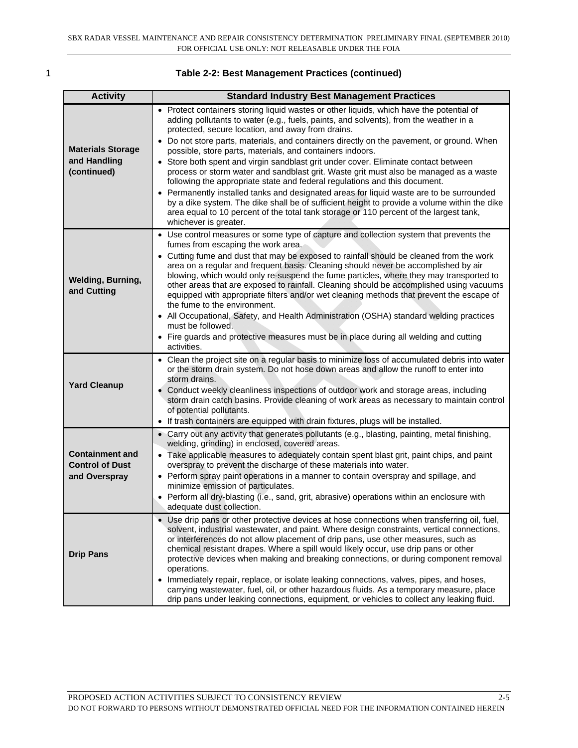| ۰, |  |
|----|--|
|    |  |
|    |  |

| <b>Table 2-2: Best Management Practices (continued)</b> |  |
|---------------------------------------------------------|--|
|---------------------------------------------------------|--|

| <b>Activity</b>                                                   | <b>Standard Industry Best Management Practices</b>                                                                                                                                                                                                                                                                                                                                                                                                                                                                                                                                                                                                                                                                                                                                                                                                                                                                                                                            |
|-------------------------------------------------------------------|-------------------------------------------------------------------------------------------------------------------------------------------------------------------------------------------------------------------------------------------------------------------------------------------------------------------------------------------------------------------------------------------------------------------------------------------------------------------------------------------------------------------------------------------------------------------------------------------------------------------------------------------------------------------------------------------------------------------------------------------------------------------------------------------------------------------------------------------------------------------------------------------------------------------------------------------------------------------------------|
| <b>Materials Storage</b><br>and Handling<br>(continued)           | • Protect containers storing liquid wastes or other liquids, which have the potential of<br>adding pollutants to water (e.g., fuels, paints, and solvents), from the weather in a<br>protected, secure location, and away from drains.<br>• Do not store parts, materials, and containers directly on the pavement, or ground. When<br>possible, store parts, materials, and containers indoors.<br>• Store both spent and virgin sandblast grit under cover. Eliminate contact between<br>process or storm water and sandblast grit. Waste grit must also be managed as a waste<br>following the appropriate state and federal regulations and this document.<br>• Permanently installed tanks and designated areas for liquid waste are to be surrounded<br>by a dike system. The dike shall be of sufficient height to provide a volume within the dike<br>area equal to 10 percent of the total tank storage or 110 percent of the largest tank,<br>whichever is greater. |
| <b>Welding, Burning,</b><br>and Cutting                           | • Use control measures or some type of capture and collection system that prevents the<br>fumes from escaping the work area.<br>• Cutting fume and dust that may be exposed to rainfall should be cleaned from the work<br>area on a regular and frequent basis. Cleaning should never be accomplished by air<br>blowing, which would only re-suspend the fume particles, where they may transported to<br>other areas that are exposed to rainfall. Cleaning should be accomplished using vacuums<br>equipped with appropriate filters and/or wet cleaning methods that prevent the escape of<br>the fume to the environment.<br>• All Occupational, Safety, and Health Administration (OSHA) standard welding practices<br>must be followed.<br>• Fire guards and protective measures must be in place during all welding and cutting<br>activities.                                                                                                                        |
| <b>Yard Cleanup</b>                                               | • Clean the project site on a regular basis to minimize loss of accumulated debris into water<br>or the storm drain system. Do not hose down areas and allow the runoff to enter into<br>storm drains.<br>• Conduct weekly cleanliness inspections of outdoor work and storage areas, including<br>storm drain catch basins. Provide cleaning of work areas as necessary to maintain control<br>of potential pollutants.<br>• If trash containers are equipped with drain fixtures, plugs will be installed.                                                                                                                                                                                                                                                                                                                                                                                                                                                                  |
| <b>Containment and</b><br><b>Control of Dust</b><br>and Overspray | • Carry out any activity that generates pollutants (e.g., blasting, painting, metal finishing,<br>welding, grinding) in enclosed, covered areas.<br>• Take applicable measures to adequately contain spent blast grit, paint chips, and paint<br>overspray to prevent the discharge of these materials into water.<br>• Perform spray paint operations in a manner to contain overspray and spillage, and<br>minimize emission of particulates.<br>• Perform all dry-blasting (i.e., sand, grit, abrasive) operations within an enclosure with<br>adequate dust collection.                                                                                                                                                                                                                                                                                                                                                                                                   |
| <b>Drip Pans</b>                                                  | • Use drip pans or other protective devices at hose connections when transferring oil, fuel,<br>solvent, industrial wastewater, and paint. Where design constraints, vertical connections,<br>or interferences do not allow placement of drip pans, use other measures, such as<br>chemical resistant drapes. Where a spill would likely occur, use drip pans or other<br>protective devices when making and breaking connections, or during component removal<br>operations.<br>• Immediately repair, replace, or isolate leaking connections, valves, pipes, and hoses,<br>carrying wastewater, fuel, oil, or other hazardous fluids. As a temporary measure, place<br>drip pans under leaking connections, equipment, or vehicles to collect any leaking fluid.                                                                                                                                                                                                            |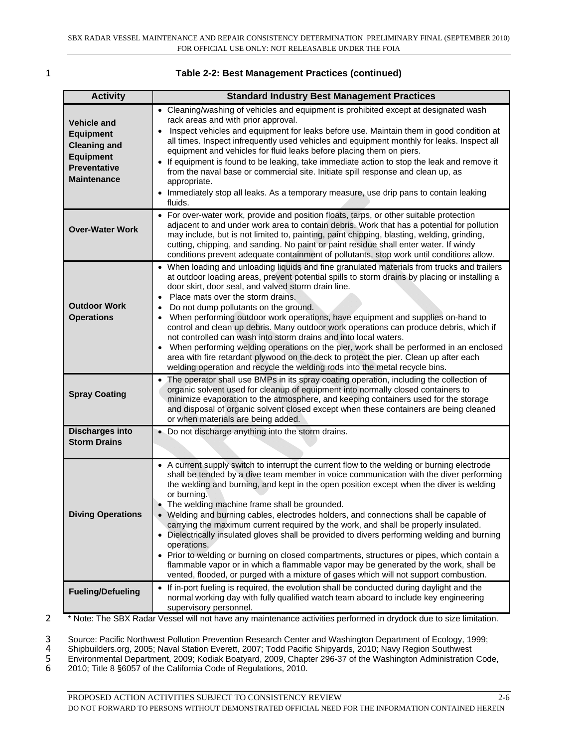| <b>Table 2-2: Best Management Practices (continued)</b> |
|---------------------------------------------------------|
|---------------------------------------------------------|

| <b>Activity</b>                                                                                                                | <b>Standard Industry Best Management Practices</b>                                                                                                                                                                                                                                                                                                                                                                                                                                                                                                                                                                                                                                                                                                                                                                                                                                                                              |
|--------------------------------------------------------------------------------------------------------------------------------|---------------------------------------------------------------------------------------------------------------------------------------------------------------------------------------------------------------------------------------------------------------------------------------------------------------------------------------------------------------------------------------------------------------------------------------------------------------------------------------------------------------------------------------------------------------------------------------------------------------------------------------------------------------------------------------------------------------------------------------------------------------------------------------------------------------------------------------------------------------------------------------------------------------------------------|
| <b>Vehicle and</b><br><b>Equipment</b><br><b>Cleaning and</b><br><b>Equipment</b><br><b>Preventative</b><br><b>Maintenance</b> | • Cleaning/washing of vehicles and equipment is prohibited except at designated wash<br>rack areas and with prior approval.<br>Inspect vehicles and equipment for leaks before use. Maintain them in good condition at<br>all times. Inspect infrequently used vehicles and equipment monthly for leaks. Inspect all<br>equipment and vehicles for fluid leaks before placing them on piers.<br>• If equipment is found to be leaking, take immediate action to stop the leak and remove it<br>from the naval base or commercial site. Initiate spill response and clean up, as<br>appropriate.<br>• Immediately stop all leaks. As a temporary measure, use drip pans to contain leaking<br>fluids.                                                                                                                                                                                                                            |
| <b>Over-Water Work</b>                                                                                                         | • For over-water work, provide and position floats, tarps, or other suitable protection<br>adjacent to and under work area to contain debris. Work that has a potential for pollution<br>may include, but is not limited to, painting, paint chipping, blasting, welding, grinding,<br>cutting, chipping, and sanding. No paint or paint residue shall enter water. If windy<br>conditions prevent adequate containment of pollutants, stop work until conditions allow.                                                                                                                                                                                                                                                                                                                                                                                                                                                        |
| <b>Outdoor Work</b><br><b>Operations</b>                                                                                       | • When loading and unloading liquids and fine granulated materials from trucks and trailers<br>at outdoor loading areas, prevent potential spills to storm drains by placing or installing a<br>door skirt, door seal, and valved storm drain line.<br>Place mats over the storm drains.<br>$\bullet$<br>Do not dump pollutants on the ground.<br>When performing outdoor work operations, have equipment and supplies on-hand to<br>control and clean up debris. Many outdoor work operations can produce debris, which if<br>not controlled can wash into storm drains and into local waters.<br>When performing welding operations on the pier, work shall be performed in an enclosed<br>$\bullet$<br>area with fire retardant plywood on the deck to protect the pier. Clean up after each<br>welding operation and recycle the welding rods into the metal recycle bins.                                                  |
| <b>Spray Coating</b>                                                                                                           | • The operator shall use BMPs in its spray coating operation, including the collection of<br>organic solvent used for cleanup of equipment into normally closed containers to<br>minimize evaporation to the atmosphere, and keeping containers used for the storage<br>and disposal of organic solvent closed except when these containers are being cleaned<br>or when materials are being added.                                                                                                                                                                                                                                                                                                                                                                                                                                                                                                                             |
| <b>Discharges into</b><br><b>Storm Drains</b>                                                                                  | • Do not discharge anything into the storm drains.                                                                                                                                                                                                                                                                                                                                                                                                                                                                                                                                                                                                                                                                                                                                                                                                                                                                              |
| <b>Diving Operations</b>                                                                                                       | • A current supply switch to interrupt the current flow to the welding or burning electrode<br>shall be tended by a dive team member in voice communication with the diver performing<br>the welding and burning, and kept in the open position except when the diver is welding<br>or burning.<br>• The welding machine frame shall be grounded.<br>• Welding and burning cables, electrodes holders, and connections shall be capable of<br>carrying the maximum current required by the work, and shall be properly insulated.<br>• Dielectrically insulated gloves shall be provided to divers performing welding and burning<br>operations.<br>• Prior to welding or burning on closed compartments, structures or pipes, which contain a<br>flammable vapor or in which a flammable vapor may be generated by the work, shall be<br>vented, flooded, or purged with a mixture of gases which will not support combustion. |
| <b>Fueling/Defueling</b>                                                                                                       | • If in-port fueling is required, the evolution shall be conducted during daylight and the<br>normal working day with fully qualified watch team aboard to include key engineering<br>supervisory personnel.                                                                                                                                                                                                                                                                                                                                                                                                                                                                                                                                                                                                                                                                                                                    |

<sup>2</sup> \* Note: The SBX Radar Vessel will not have any maintenance activities performed in drydock due to size limitation.

4 Shipbuilders.org, 2005; Naval Station Everett, 2007; Todd Pacific Shipyards, 2010; Navy Region Southwest

3 Source: Pacific Northwest Pollution Prevention Research Center and Washington Department of Ecology, 1999;<br>4 Shipbuilders.org, 2005; Naval Station Everett, 2007; Todd Pacific Shipyards, 2010; Navy Region Southwest<br>5 Envi 5 Environmental Department, 2009; Kodiak Boatyard, 2009, Chapter 296-37 of the Washington Administration Code,

6 2010; Title 8 §6057 of the California Code of Regulations, 2010.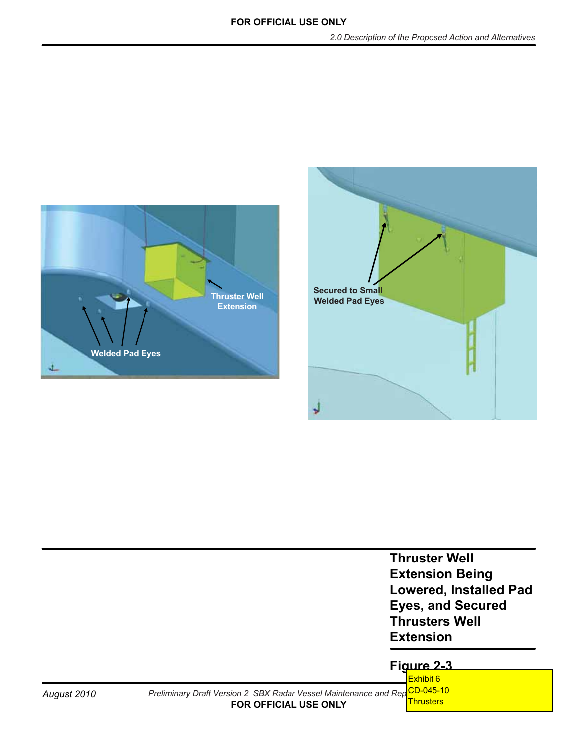



| <b>Thruster Well</b>          |
|-------------------------------|
| <b>Extension Being</b>        |
| <b>Lowered, Installed Pad</b> |
| <b>Eyes, and Secured</b>      |
| <b>Thrusters Well</b>         |
| <b>Extension</b>              |

## **Figure 2-3**

August 2010 *Preliminary Draft Version 2 SBX Radar Vessel Maintenance and Rep<sup>ct</sup>p-045-10* **FOR OFFICIAL USE ONLY** Exhibit 6 **Thrusters**